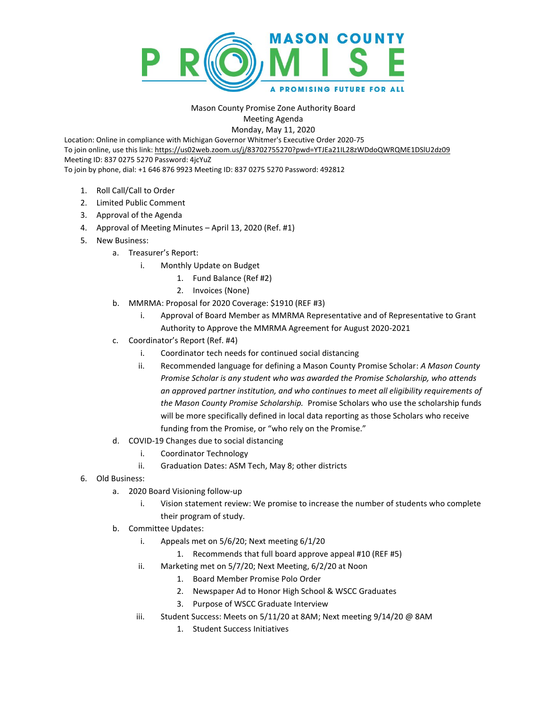

## Mason County Promise Zone Authority Board Meeting Agenda

Monday, May 11, 2020

Location: Online in compliance with Michigan Governor Whitmer's Executive Order 2020-75 To join online, use this link[: https://us02web.zoom.us/j/83702755270?pwd=YTJEa21IL28zWDdoQWRQME1DSlU2dz09](https://us02web.zoom.us/j/83702755270?pwd=YTJEa21IL28zWDdoQWRQME1DSlU2dz09) Meeting ID: 837 0275 5270 Password: 4jcYuZ To join by phone, dial: +1 646 876 9923 Meeting ID: 837 0275 5270 Password: 492812

- 1. Roll Call/Call to Order
- 2. Limited Public Comment
- 3. Approval of the Agenda
- 4. Approval of Meeting Minutes April 13, 2020 (Ref. #1)
- 5. New Business:
	- a. Treasurer's Report:
		- i. Monthly Update on Budget
			- 1. Fund Balance (Ref #2)
			- 2. Invoices (None)
	- b. MMRMA: Proposal for 2020 Coverage: \$1910 (REF #3)
		- i. Approval of Board Member as MMRMA Representative and of Representative to Grant Authority to Approve the MMRMA Agreement for August 2020-2021
	- c. Coordinator's Report (Ref. #4)
		- i. Coordinator tech needs for continued social distancing
		- ii. Recommended language for defining a Mason County Promise Scholar: *A Mason County Promise Scholar is any student who was awarded the Promise Scholarship, who attends an approved partner institution, and who continues to meet all eligibility requirements of the Mason County Promise Scholarship.* Promise Scholars who use the scholarship funds will be more specifically defined in local data reporting as those Scholars who receive funding from the Promise, or "who rely on the Promise."
	- d. COVID-19 Changes due to social distancing
		- i. Coordinator Technology
		- ii. Graduation Dates: ASM Tech, May 8; other districts
- 6. Old Business:
	- a. 2020 Board Visioning follow-up
		- i. Vision statement review: We promise to increase the number of students who complete their program of study.
	- b. Committee Updates:
		- i. Appeals met on 5/6/20; Next meeting 6/1/20
			- 1. Recommends that full board approve appeal #10 (REF #5)
		- ii. Marketing met on 5/7/20; Next Meeting, 6/2/20 at Noon
			- 1. Board Member Promise Polo Order
			- 2. Newspaper Ad to Honor High School & WSCC Graduates
			- 3. Purpose of WSCC Graduate Interview
		- iii. Student Success: Meets on 5/11/20 at 8AM; Next meeting 9/14/20 @ 8AM
			- 1. Student Success Initiatives